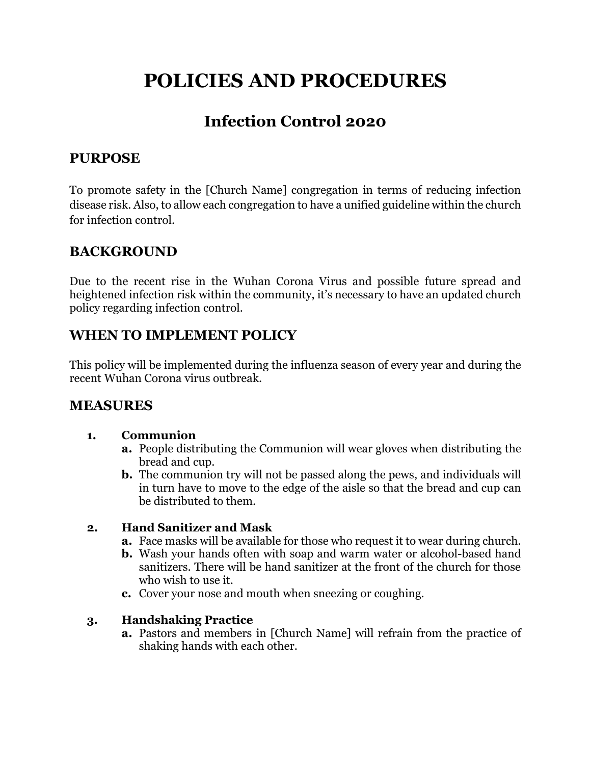# **POLICIES AND PROCEDURES**

# **Infection Control 2020**

# **PURPOSE**

To promote safety in the [Church Name] congregation in terms of reducing infection disease risk. Also, to allow each congregation to have a unified guideline within the church for infection control.

## **BACKGROUND**

Due to the recent rise in the Wuhan Corona Virus and possible future spread and heightened infection risk within the community, it's necessary to have an updated church policy regarding infection control.

### **WHEN TO IMPLEMENT POLICY**

This policy will be implemented during the influenza season of every year and during the recent Wuhan Corona virus outbreak.

### **MEASURES**

#### **1. Communion**

- **a.** People distributing the Communion will wear gloves when distributing the bread and cup.
- **b.** The communion try will not be passed along the pews, and individuals will in turn have to move to the edge of the aisle so that the bread and cup can be distributed to them.

#### **2. Hand Sanitizer and Mask**

- **a.** Face masks will be available for those who request it to wear during church.
- **b.** Wash your hands often with soap and warm water or alcohol-based hand sanitizers. There will be hand sanitizer at the front of the church for those who wish to use it.
- **c.** Cover your nose and mouth when sneezing or coughing.

#### **3. Handshaking Practice**

**a.** Pastors and members in [Church Name] will refrain from the practice of shaking hands with each other.